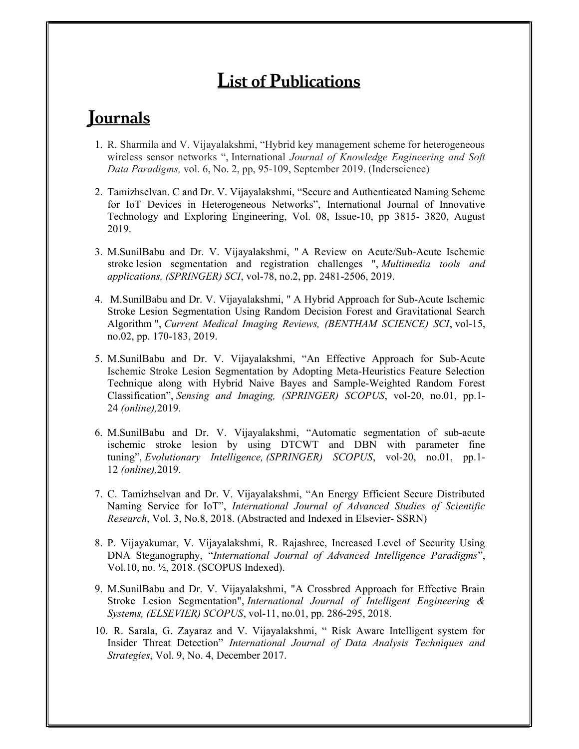## List of Publications

## **Journals**

- 1. R. Sharmila and V. Vijayalakshmi, "Hybrid key management scheme for heterogeneous wireless sensor networks ", International Journal of Knowledge Engineering and Soft Data Paradigms, vol. 6, No. 2, pp, 95-109, September 2019. (Inderscience)
- 2. Tamizhselvan. C and Dr. V. Vijayalakshmi, "Secure and Authenticated Naming Scheme for IoT Devices in Heterogeneous Networks", International Journal of Innovative Technology and Exploring Engineering, Vol. 08, Issue-10, pp 3815- 3820, August 2019.
- 3. M.SunilBabu and Dr. V. Vijayalakshmi, " A Review on Acute/Sub-Acute Ischemic stroke lesion segmentation and registration challenges ", Multimedia tools and applications, (SPRINGER) SCI, vol-78, no.2, pp. 2481-2506, 2019.
- 4. M.SunilBabu and Dr. V. Vijayalakshmi, " A Hybrid Approach for Sub-Acute Ischemic Stroke Lesion Segmentation Using Random Decision Forest and Gravitational Search Algorithm ", Current Medical Imaging Reviews, (BENTHAM SCIENCE) SCI, vol-15, no.02, pp. 170-183, 2019.
- 5. M.SunilBabu and Dr. V. Vijayalakshmi, "An Effective Approach for Sub-Acute Ischemic Stroke Lesion Segmentation by Adopting Meta-Heuristics Feature Selection Technique along with Hybrid Naive Bayes and Sample-Weighted Random Forest Classification", Sensing and Imaging, (SPRINGER) SCOPUS, vol-20, no.01, pp.1- 24 (online),2019.
- 6. M.SunilBabu and Dr. V. Vijayalakshmi, "Automatic segmentation of sub-acute ischemic stroke lesion by using DTCWT and DBN with parameter fine tuning", Evolutionary Intelligence, (SPRINGER) SCOPUS, vol-20, no.01, pp.1-12 (online),2019.
- 7. C. Tamizhselvan and Dr. V. Vijayalakshmi, "An Energy Efficient Secure Distributed Naming Service for IoT", International Journal of Advanced Studies of Scientific Research, Vol. 3, No.8, 2018. (Abstracted and Indexed in Elsevier- SSRN)
- 8. P. Vijayakumar, V. Vijayalakshmi, R. Rajashree, Increased Level of Security Using DNA Steganography, "International Journal of Advanced Intelligence Paradigms", Vol.10, no. ½, 2018. (SCOPUS Indexed).
- 9. M.SunilBabu and Dr. V. Vijayalakshmi, "A Crossbred Approach for Effective Brain Stroke Lesion Segmentation", International Journal of Intelligent Engineering & Systems, (ELSEVIER) SCOPUS, vol-11, no.01, pp. 286-295, 2018.
- 10. R. Sarala, G. Zayaraz and V. Vijayalakshmi, " Risk Aware Intelligent system for Insider Threat Detection" International Journal of Data Analysis Techniques and Strategies, Vol. 9, No. 4, December 2017.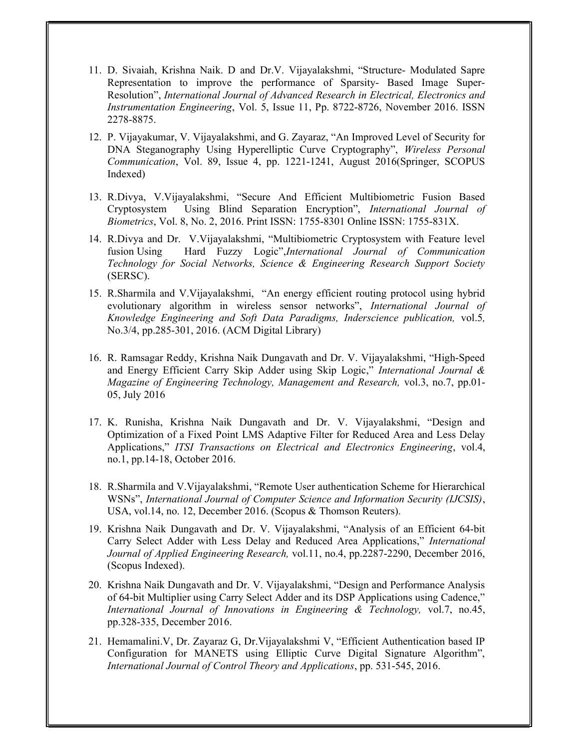- 11. D. Sivaiah, Krishna Naik. D and Dr.V. Vijayalakshmi, "Structure- Modulated Sapre Representation to improve the performance of Sparsity- Based Image Super-Resolution", International Journal of Advanced Research in Electrical, Electronics and Instrumentation Engineering, Vol. 5, Issue 11, Pp. 8722-8726, November 2016. ISSN 2278-8875.
- 12. P. Vijayakumar, V. Vijayalakshmi, and G. Zayaraz, "An Improved Level of Security for DNA Steganography Using Hyperelliptic Curve Cryptography", Wireless Personal Communication, Vol. 89, Issue 4, pp. 1221-1241, August 2016(Springer, SCOPUS Indexed)
- 13. R.Divya, V.Vijayalakshmi, "Secure And Efficient Multibiometric Fusion Based Cryptosystem Using Blind Separation Encryption", International Journal of Biometrics, Vol. 8, No. 2, 2016. Print ISSN: 1755-8301 Online ISSN: 1755-831X.
- 14. R.Divya and Dr. V.Vijayalakshmi, "Multibiometric Cryptosystem with Feature level fusion Using Hard Fuzzy Logic",International Journal of Communication Technology for Social Networks, Science & Engineering Research Support Society (SERSC).
- 15. R.Sharmila and V.Vijayalakshmi, "An energy efficient routing protocol using hybrid evolutionary algorithm in wireless sensor networks", International Journal of Knowledge Engineering and Soft Data Paradigms, Inderscience publication, vol.5, No.3/4, pp.285-301, 2016. (ACM Digital Library)
- 16. R. Ramsagar Reddy, Krishna Naik Dungavath and Dr. V. Vijayalakshmi, "High-Speed and Energy Efficient Carry Skip Adder using Skip Logic," International Journal & Magazine of Engineering Technology, Management and Research, vol.3, no.7, pp.01- 05, July 2016
- 17. K. Runisha, Krishna Naik Dungavath and Dr. V. Vijayalakshmi, "Design and Optimization of a Fixed Point LMS Adaptive Filter for Reduced Area and Less Delay Applications," ITSI Transactions on Electrical and Electronics Engineering, vol.4, no.1, pp.14-18, October 2016.
- 18. R.Sharmila and V.Vijayalakshmi, "Remote User authentication Scheme for Hierarchical WSNs", International Journal of Computer Science and Information Security (IJCSIS), USA, vol.14, no. 12, December 2016. (Scopus & Thomson Reuters).
- 19. Krishna Naik Dungavath and Dr. V. Vijayalakshmi, "Analysis of an Efficient 64-bit Carry Select Adder with Less Delay and Reduced Area Applications," International Journal of Applied Engineering Research, vol.11, no.4, pp.2287-2290, December 2016, (Scopus Indexed).
- 20. Krishna Naik Dungavath and Dr. V. Vijayalakshmi, "Design and Performance Analysis of 64-bit Multiplier using Carry Select Adder and its DSP Applications using Cadence," International Journal of Innovations in Engineering & Technology, vol.7, no.45, pp.328-335, December 2016.
- 21. Hemamalini.V, Dr. Zayaraz G, Dr.Vijayalakshmi V, "Efficient Authentication based IP Configuration for MANETS using Elliptic Curve Digital Signature Algorithm", International Journal of Control Theory and Applications, pp. 531-545, 2016.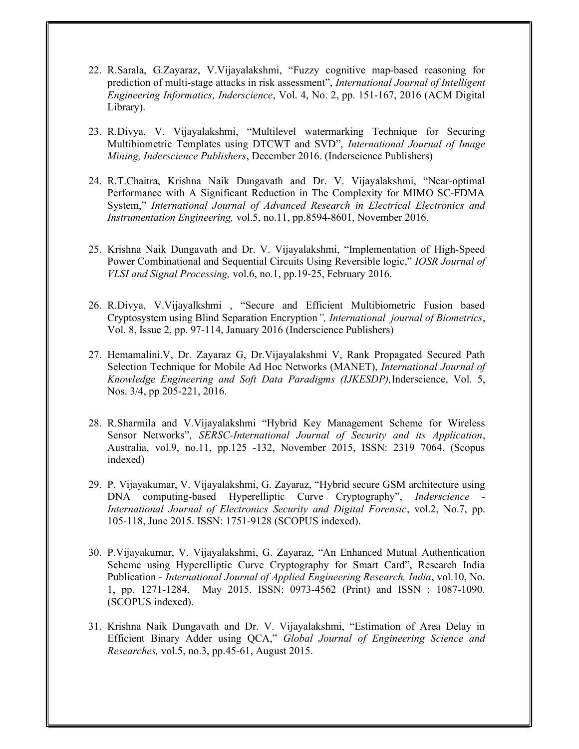- 22. R.Sarala, G.Zayaraz, V.Vijayalakshmi, "Fuzzy cognitive map-based reasoning for prediction of multi-stage attacks in risk assessment", International Journal of Intelligent Engineering Informatics, Inderscience, Vol. 4, No. 2, pp. 151-167, 2016 (ACM Digital Library).
- 23. R.Divya, V. Vijayalakshmi, "Multilevel watermarking Technique for Securing Multibiometric Templates using DTCWT and SVD", International Journal of Image Mining, Inderscience Publishers, December 2016. (Inderscience Publishers)
- 24. R.T.Chaitra, Krishna Naik Dungavath and Dr. V. Vijayalakshmi, "Near-optimal Performance with A Significant Reduction in The Complexity for MIMO SC-FDMA System," International Journal of Advanced Research in Electrical Electronics and Instrumentation Engineering, vol.5, no.11, pp.8594-8601, November 2016.
- 25. Krishna Naik Dungavath and Dr. V. Vijayalakshmi, "Implementation of High-Speed Power Combinational and Sequential Circuits Using Reversible logic," IOSR Journal of VLSI and Signal Processing, vol.6, no.1, pp.19-25, February 2016.
- 26. R.Divya, V.Vijayalkshmi , "Secure and Efficient Multibiometric Fusion based Cryptosystem using Blind Separation Encryption", International journal of Biometrics, Vol. 8, Issue 2, pp. 97-114, January 2016 (Inderscience Publishers)
- 27. Hemamalini.V, Dr. Zayaraz G, Dr.Vijayalakshmi V, Rank Propagated Secured Path Selection Technique for Mobile Ad Hoc Networks (MANET), International Journal of Knowledge Engineering and Soft Data Paradigms (IJKESDP), Inderscience, Vol. 5, Nos. 3/4, pp 205-221, 2016.
- 28. R.Sharmila and V.Vijayalakshmi "Hybrid Key Management Scheme for Wireless Sensor Networks", SERSC-International Journal of Security and its Application, Australia, vol.9, no.11, pp.125 -132, November 2015, ISSN: 2319 7064. (Scopus indexed)
- 29. P. Vijayakumar, V. Vijayalakshmi, G. Zayaraz, "Hybrid secure GSM architecture using DNA computing-based Hyperelliptic Curve Cryptography", *Inderscience* International Journal of Electronics Security and Digital Forensic, vol.2, No.7, pp. 105-118, June 2015. ISSN: 1751-9128 (SCOPUS indexed).
- 30. P.Vijayakumar, V. Vijayalakshmi, G. Zayaraz, "An Enhanced Mutual Authentication Scheme using Hyperelliptic Curve Cryptography for Smart Card", Research India Publication - International Journal of Applied Engineering Research, India, vol.10, No. 1, pp. 1271-1284, May 2015. ISSN: 0973-4562 (Print) and ISSN : 1087-1090. (SCOPUS indexed).
- 31. Krishna Naik Dungavath and Dr. V. Vijayalakshmi, "Estimation of Area Delay in Efficient Binary Adder using QCA," Global Journal of Engineering Science and Researches, vol.5, no.3, pp.45-61, August 2015.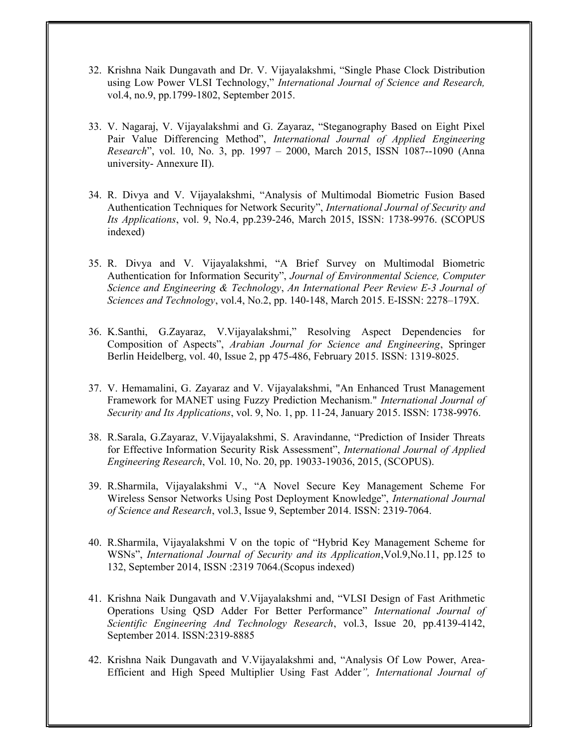- 32. Krishna Naik Dungavath and Dr. V. Vijayalakshmi, "Single Phase Clock Distribution using Low Power VLSI Technology," International Journal of Science and Research, vol.4, no.9, pp.1799-1802, September 2015.
- 33. V. Nagaraj, V. Vijayalakshmi and G. Zayaraz, "Steganography Based on Eight Pixel Pair Value Differencing Method", International Journal of Applied Engineering Research", vol. 10, No. 3, pp. 1997 – 2000, March 2015, ISSN 1087--1090 (Anna university- Annexure II).
- 34. R. Divya and V. Vijayalakshmi, "Analysis of Multimodal Biometric Fusion Based Authentication Techniques for Network Security", International Journal of Security and Its Applications, vol. 9, No.4, pp.239-246, March 2015, ISSN: 1738-9976. (SCOPUS indexed)
- 35. R. Divya and V. Vijayalakshmi, "A Brief Survey on Multimodal Biometric Authentication for Information Security", Journal of Environmental Science, Computer Science and Engineering & Technology, An International Peer Review E-3 Journal of Sciences and Technology, vol.4, No.2, pp. 140-148, March 2015. E-ISSN: 2278–179X.
- 36. K.Santhi, G.Zayaraz, V.Vijayalakshmi," Resolving Aspect Dependencies for Composition of Aspects", Arabian Journal for Science and Engineering, Springer Berlin Heidelberg, vol. 40, Issue 2, pp 475-486, February 2015. ISSN: 1319-8025.
- 37. V. Hemamalini, G. Zayaraz and V. Vijayalakshmi, "An Enhanced Trust Management Framework for MANET using Fuzzy Prediction Mechanism." International Journal of Security and Its Applications, vol. 9, No. 1, pp. 11-24, January 2015. ISSN: 1738-9976.
- 38. R.Sarala, G.Zayaraz, V.Vijayalakshmi, S. Aravindanne, "Prediction of Insider Threats for Effective Information Security Risk Assessment", International Journal of Applied Engineering Research, Vol. 10, No. 20, pp. 19033-19036, 2015, (SCOPUS).
- 39. R.Sharmila, Vijayalakshmi V., "A Novel Secure Key Management Scheme For Wireless Sensor Networks Using Post Deployment Knowledge", International Journal of Science and Research, vol.3, Issue 9, September 2014. ISSN: 2319-7064.
- 40. R.Sharmila, Vijayalakshmi V on the topic of "Hybrid Key Management Scheme for WSNs", International Journal of Security and its Application,Vol.9,No.11, pp.125 to 132, September 2014, ISSN :2319 7064.(Scopus indexed)
- 41. Krishna Naik Dungavath and V.Vijayalakshmi and, "VLSI Design of Fast Arithmetic Operations Using QSD Adder For Better Performance" International Journal of Scientific Engineering And Technology Research, vol.3, Issue 20, pp.4139-4142, September 2014. ISSN:2319-8885
- 42. Krishna Naik Dungavath and V.Vijayalakshmi and, "Analysis Of Low Power, Area-Efficient and High Speed Multiplier Using Fast Adder", International Journal of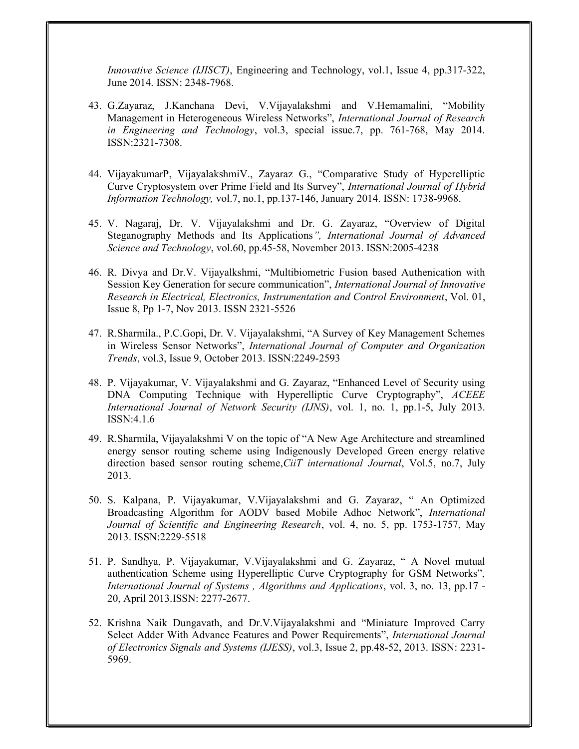Innovative Science (IJISCT), Engineering and Technology, vol.1, Issue 4, pp.317-322, June 2014. ISSN: 2348-7968.

- 43. G.Zayaraz, J.Kanchana Devi, V.Vijayalakshmi and V.Hemamalini, "Mobility Management in Heterogeneous Wireless Networks", International Journal of Research in Engineering and Technology, vol.3, special issue.7, pp. 761-768, May 2014. ISSN:2321-7308.
- 44. VijayakumarP, VijayalakshmiV., Zayaraz G., "Comparative Study of Hyperelliptic Curve Cryptosystem over Prime Field and Its Survey", International Journal of Hybrid Information Technology, vol.7, no.1, pp.137-146, January 2014. ISSN: 1738-9968.
- 45. V. Nagaraj, Dr. V. Vijayalakshmi and Dr. G. Zayaraz, "Overview of Digital Steganography Methods and Its Applications", International Journal of Advanced Science and Technology, vol.60, pp.45-58, November 2013. ISSN:2005-4238
- 46. R. Divya and Dr.V. Vijayalkshmi, "Multibiometric Fusion based Authenication with Session Key Generation for secure communication", International Journal of Innovative Research in Electrical, Electronics, Instrumentation and Control Environment, Vol. 01, Issue 8, Pp 1-7, Nov 2013. ISSN 2321-5526
- 47. R.Sharmila., P.C.Gopi, Dr. V. Vijayalakshmi, "A Survey of Key Management Schemes in Wireless Sensor Networks", International Journal of Computer and Organization Trends, vol.3, Issue 9, October 2013. ISSN:2249-2593
- 48. P. Vijayakumar, V. Vijayalakshmi and G. Zayaraz, "Enhanced Level of Security using DNA Computing Technique with Hyperelliptic Curve Cryptography", ACEEE International Journal of Network Security (IJNS), vol. 1, no. 1, pp.1-5, July 2013. ISSN:4.1.6
- 49. R.Sharmila, Vijayalakshmi V on the topic of "A New Age Architecture and streamlined energy sensor routing scheme using Indigenously Developed Green energy relative direction based sensor routing scheme, CiiT international Journal, Vol.5, no.7, July 2013.
- 50. S. Kalpana, P. Vijayakumar, V.Vijayalakshmi and G. Zayaraz, " An Optimized Broadcasting Algorithm for AODV based Mobile Adhoc Network", International Journal of Scientific and Engineering Research, vol. 4, no. 5, pp. 1753-1757, May 2013. ISSN:2229-5518
- 51. P. Sandhya, P. Vijayakumar, V.Vijayalakshmi and G. Zayaraz, " A Novel mutual authentication Scheme using Hyperelliptic Curve Cryptography for GSM Networks", International Journal of Systems , Algorithms and Applications, vol. 3, no. 13, pp.17 - 20, April 2013.ISSN: 2277-2677.
- 52. Krishna Naik Dungavath, and Dr.V.Vijayalakshmi and "Miniature Improved Carry Select Adder With Advance Features and Power Requirements", International Journal of Electronics Signals and Systems (IJESS), vol.3, Issue 2, pp.48-52, 2013. ISSN: 2231‐ 5969.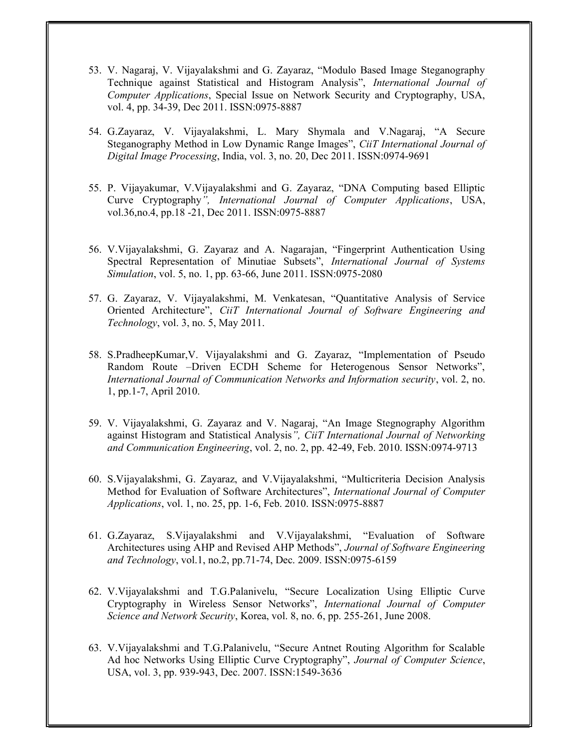- 53. V. Nagaraj, V. Vijayalakshmi and G. Zayaraz, "Modulo Based Image Steganography Technique against Statistical and Histogram Analysis", International Journal of Computer Applications, Special Issue on Network Security and Cryptography, USA, vol. 4, pp. 34-39, Dec 2011. ISSN:0975-8887
- 54. G.Zayaraz, V. Vijayalakshmi, L. Mary Shymala and V.Nagaraj, "A Secure Steganography Method in Low Dynamic Range Images", CiiT International Journal of Digital Image Processing, India, vol. 3, no. 20, Dec 2011. ISSN:0974-9691
- 55. P. Vijayakumar, V.Vijayalakshmi and G. Zayaraz, "DNA Computing based Elliptic Curve Cryptography", International Journal of Computer Applications, USA, vol.36,no.4, pp.18 -21, Dec 2011. ISSN:0975-8887
- 56. V.Vijayalakshmi, G. Zayaraz and A. Nagarajan, "Fingerprint Authentication Using Spectral Representation of Minutiae Subsets", International Journal of Systems Simulation, vol. 5, no. 1, pp. 63-66, June 2011. ISSN:0975-2080
- 57. G. Zayaraz, V. Vijayalakshmi, M. Venkatesan, "Quantitative Analysis of Service Oriented Architecture", CiiT International Journal of Software Engineering and Technology, vol. 3, no. 5, May 2011.
- 58. S.PradheepKumar,V. Vijayalakshmi and G. Zayaraz, "Implementation of Pseudo Random Route –Driven ECDH Scheme for Heterogenous Sensor Networks", International Journal of Communication Networks and Information security, vol. 2, no. 1, pp.1-7, April 2010.
- 59. V. Vijayalakshmi, G. Zayaraz and V. Nagaraj, "An Image Stegnography Algorithm against Histogram and Statistical Analysis", CiiT International Journal of Networking and Communication Engineering, vol. 2, no. 2, pp. 42-49, Feb. 2010. ISSN:0974-9713
- 60. S.Vijayalakshmi, G. Zayaraz, and V.Vijayalakshmi, "Multicriteria Decision Analysis Method for Evaluation of Software Architectures", International Journal of Computer Applications, vol. 1, no. 25, pp. 1-6, Feb. 2010. ISSN:0975-8887
- 61. G.Zayaraz, S.Vijayalakshmi and V.Vijayalakshmi, "Evaluation of Software Architectures using AHP and Revised AHP Methods", Journal of Software Engineering and Technology, vol.1, no.2, pp.71-74, Dec. 2009. ISSN:0975-6159
- 62. V.Vijayalakshmi and T.G.Palanivelu, "Secure Localization Using Elliptic Curve Cryptography in Wireless Sensor Networks", International Journal of Computer Science and Network Security, Korea, vol. 8, no. 6, pp. 255-261, June 2008.
- 63. V.Vijayalakshmi and T.G.Palanivelu, "Secure Antnet Routing Algorithm for Scalable Ad hoc Networks Using Elliptic Curve Cryptography", Journal of Computer Science, USA, vol. 3, pp. 939-943, Dec. 2007. ISSN:1549-3636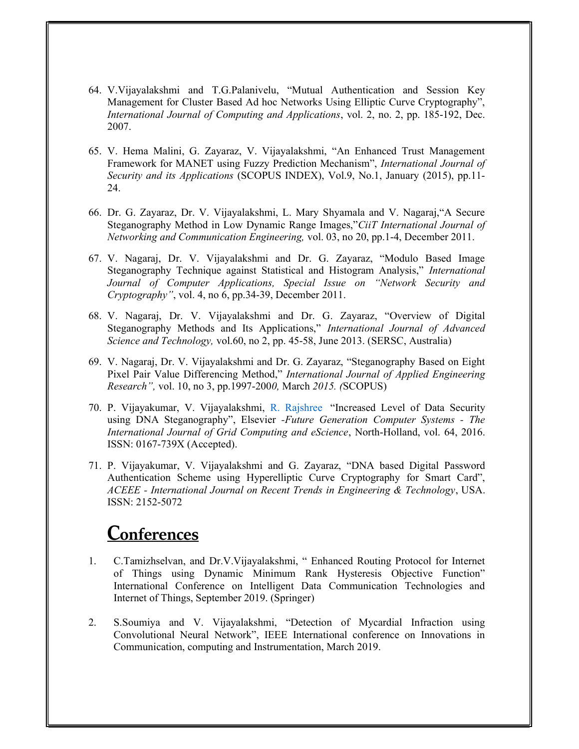- 64. V.Vijayalakshmi and T.G.Palanivelu, "Mutual Authentication and Session Key Management for Cluster Based Ad hoc Networks Using Elliptic Curve Cryptography", International Journal of Computing and Applications, vol. 2, no. 2, pp. 185-192, Dec. 2007.
- 65. V. Hema Malini, G. Zayaraz, V. Vijayalakshmi, "An Enhanced Trust Management Framework for MANET using Fuzzy Prediction Mechanism", International Journal of Security and its Applications (SCOPUS INDEX), Vol.9, No.1, January (2015), pp.11-24.
- 66. Dr. G. Zayaraz, Dr. V. Vijayalakshmi, L. Mary Shyamala and V. Nagaraj,"A Secure Steganography Method in Low Dynamic Range Images,"CiiT International Journal of Networking and Communication Engineering, vol. 03, no 20, pp.1-4, December 2011.
- 67. V. Nagaraj, Dr. V. Vijayalakshmi and Dr. G. Zayaraz, "Modulo Based Image Steganography Technique against Statistical and Histogram Analysis," International Journal of Computer Applications, Special Issue on "Network Security and Cryptography", vol. 4, no 6, pp.34-39, December 2011.
- 68. V. Nagaraj, Dr. V. Vijayalakshmi and Dr. G. Zayaraz, "Overview of Digital Steganography Methods and Its Applications," International Journal of Advanced Science and Technology, vol.60, no 2, pp. 45-58, June 2013. (SERSC, Australia)
- 69. V. Nagaraj, Dr. V. Vijayalakshmi and Dr. G. Zayaraz, "Steganography Based on Eight Pixel Pair Value Differencing Method," International Journal of Applied Engineering Research", vol. 10, no 3, pp.1997-2000, March 2015. (SCOPUS)
- 70. P. Vijayakumar, V. Vijayalakshmi, R. Rajshree "Increased Level of Data Security using DNA Steganography", Elsevier -Future Generation Computer Systems - The International Journal of Grid Computing and eScience, North-Holland, vol. 64, 2016. ISSN: 0167-739X (Accepted).
- 71. P. Vijayakumar, V. Vijayalakshmi and G. Zayaraz, "DNA based Digital Password Authentication Scheme using Hyperelliptic Curve Cryptography for Smart Card", ACEEE - International Journal on Recent Trends in Engineering & Technology, USA. ISSN: 2152-5072

## **Conferences**

- 1. C.Tamizhselvan, and Dr.V.Vijayalakshmi, " Enhanced Routing Protocol for Internet of Things using Dynamic Minimum Rank Hysteresis Objective Function" International Conference on Intelligent Data Communication Technologies and Internet of Things, September 2019. (Springer)
- 2. S.Soumiya and V. Vijayalakshmi, "Detection of Mycardial Infraction using Convolutional Neural Network", IEEE International conference on Innovations in Communication, computing and Instrumentation, March 2019.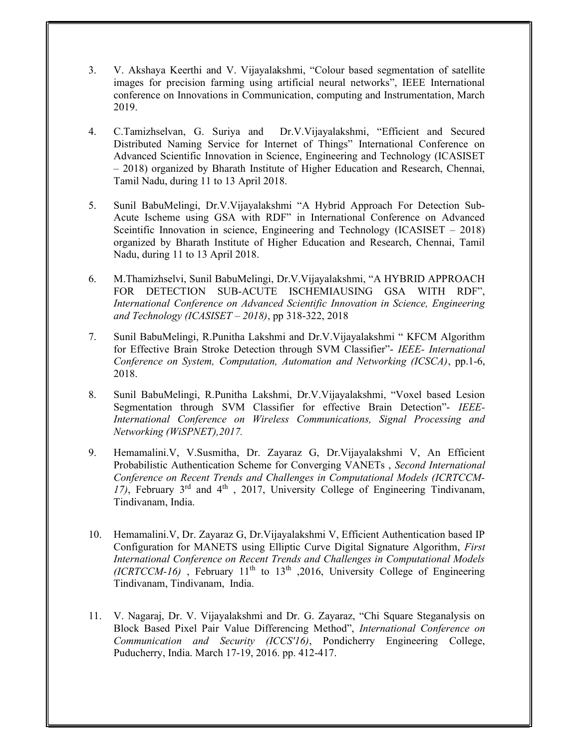- 3. V. Akshaya Keerthi and V. Vijayalakshmi, "Colour based segmentation of satellite images for precision farming using artificial neural networks", IEEE International conference on Innovations in Communication, computing and Instrumentation, March 2019.
- 4. C.Tamizhselvan, G. Suriya and Dr.V.Vijayalakshmi, "Efficient and Secured Distributed Naming Service for Internet of Things" International Conference on Advanced Scientific Innovation in Science, Engineering and Technology (ICASISET – 2018) organized by Bharath Institute of Higher Education and Research, Chennai, Tamil Nadu, during 11 to 13 April 2018.
- 5. Sunil BabuMelingi, Dr.V.Vijayalakshmi "A Hybrid Approach For Detection Sub-Acute Ischeme using GSA with RDF" in International Conference on Advanced Sceintific Innovation in science, Engineering and Technology (ICASISET – 2018) organized by Bharath Institute of Higher Education and Research, Chennai, Tamil Nadu, during 11 to 13 April 2018.
- 6. M.Thamizhselvi, Sunil BabuMelingi, Dr.V.Vijayalakshmi, "A HYBRID APPROACH FOR DETECTION SUB-ACUTE ISCHEMIAUSING GSA WITH RDF", International Conference on Advanced Scientific Innovation in Science, Engineering and Technology (ICASISET  $-$  2018), pp 318-322, 2018
- 7. Sunil BabuMelingi, R.Punitha Lakshmi and Dr.V.Vijayalakshmi " KFCM Algorithm for Effective Brain Stroke Detection through SVM Classifier"- IEEE- International Conference on System, Computation, Automation and Networking (ICSCA), pp.1-6, 2018.
- 8. Sunil BabuMelingi, R.Punitha Lakshmi, Dr.V.Vijayalakshmi, "Voxel based Lesion Segmentation through SVM Classifier for effective Brain Detection"- IEEE-International Conference on Wireless Communications, Signal Processing and Networking (WiSPNET),2017.
- 9. Hemamalini.V, V.Susmitha, Dr. Zayaraz G, Dr.Vijayalakshmi V, An Efficient Probabilistic Authentication Scheme for Converging VANETs , Second International Conference on Recent Trends and Challenges in Computational Models (ICRTCCM-17), February  $3<sup>rd</sup>$  and  $4<sup>th</sup>$ , 2017, University College of Engineering Tindivanam, Tindivanam, India.
- 10. Hemamalini.V, Dr. Zayaraz G, Dr.Vijayalakshmi V, Efficient Authentication based IP Configuration for MANETS using Elliptic Curve Digital Signature Algorithm, First International Conference on Recent Trends and Challenges in Computational Models (ICRTCCM-16), February 11<sup>th</sup> to 13<sup>th</sup>, 2016, University College of Engineering Tindivanam, Tindivanam, India.
- 11. V. Nagaraj, Dr. V. Vijayalakshmi and Dr. G. Zayaraz, "Chi Square Steganalysis on Block Based Pixel Pair Value Differencing Method", International Conference on Communication and Security (ICCS'16), Pondicherry Engineering College, Puducherry, India. March 17-19, 2016. pp. 412-417.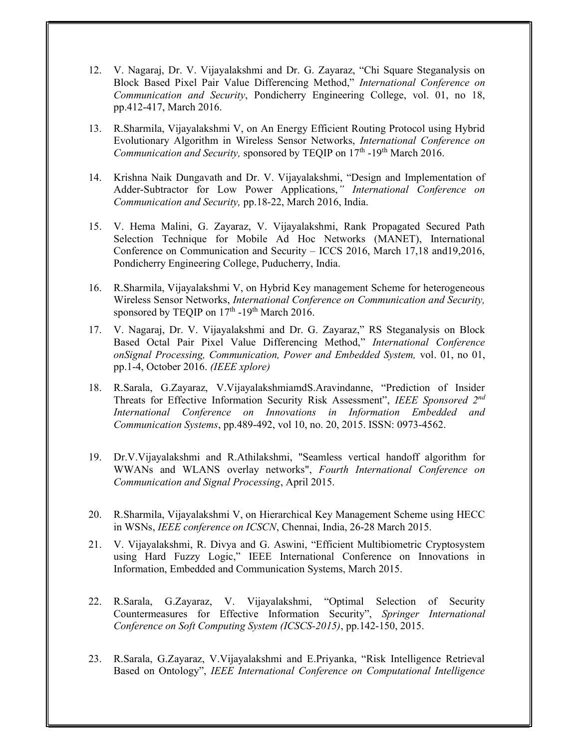- 12. V. Nagaraj, Dr. V. Vijayalakshmi and Dr. G. Zayaraz, "Chi Square Steganalysis on Block Based Pixel Pair Value Differencing Method," International Conference on Communication and Security, Pondicherry Engineering College, vol. 01, no 18, pp.412-417, March 2016.
- 13. R.Sharmila, Vijayalakshmi V, on An Energy Efficient Routing Protocol using Hybrid Evolutionary Algorithm in Wireless Sensor Networks, International Conference on Communication and Security, sponsored by TEQIP on  $17<sup>th</sup>$  -19<sup>th</sup> March 2016.
- 14. Krishna Naik Dungavath and Dr. V. Vijayalakshmi, "Design and Implementation of Adder-Subtractor for Low Power Applications," International Conference on Communication and Security, pp.18-22, March 2016, India.
- 15. V. Hema Malini, G. Zayaraz, V. Vijayalakshmi, Rank Propagated Secured Path Selection Technique for Mobile Ad Hoc Networks (MANET), International Conference on Communication and Security – ICCS 2016, March 17,18 and19,2016, Pondicherry Engineering College, Puducherry, India.
- 16. R.Sharmila, Vijayalakshmi V, on Hybrid Key management Scheme for heterogeneous Wireless Sensor Networks, International Conference on Communication and Security, sponsored by TEQIP on  $17<sup>th</sup>$  -19<sup>th</sup> March 2016.
- 17. V. Nagaraj, Dr. V. Vijayalakshmi and Dr. G. Zayaraz," RS Steganalysis on Block Based Octal Pair Pixel Value Differencing Method," International Conference onSignal Processing, Communication, Power and Embedded System, vol. 01, no 01, pp.1-4, October 2016. (IEEE xplore)
- 18. R.Sarala, G.Zayaraz, V.VijayalakshmiamdS.Aravindanne, "Prediction of Insider Threats for Effective Information Security Risk Assessment", IEEE Sponsored 2nd International Conference on Innovations in Information Embedded and Communication Systems, pp.489-492, vol 10, no. 20, 2015. ISSN: 0973-4562.
- 19. Dr.V.Vijayalakshmi and R.Athilakshmi, "Seamless vertical handoff algorithm for WWANs and WLANS overlay networks", Fourth International Conference on Communication and Signal Processing, April 2015.
- 20. R.Sharmila, Vijayalakshmi V, on Hierarchical Key Management Scheme using HECC in WSNs, IEEE conference on ICSCN, Chennai, India, 26-28 March 2015.
- 21. V. Vijayalakshmi, R. Divya and G. Aswini, "Efficient Multibiometric Cryptosystem using Hard Fuzzy Logic," IEEE International Conference on Innovations in Information, Embedded and Communication Systems, March 2015.
- 22. R.Sarala, G.Zayaraz, V. Vijayalakshmi, "Optimal Selection of Security Countermeasures for Effective Information Security", Springer International Conference on Soft Computing System (ICSCS-2015), pp.142-150, 2015.
- 23. R.Sarala, G.Zayaraz, V.Vijayalakshmi and E.Priyanka, "Risk Intelligence Retrieval Based on Ontology", IEEE International Conference on Computational Intelligence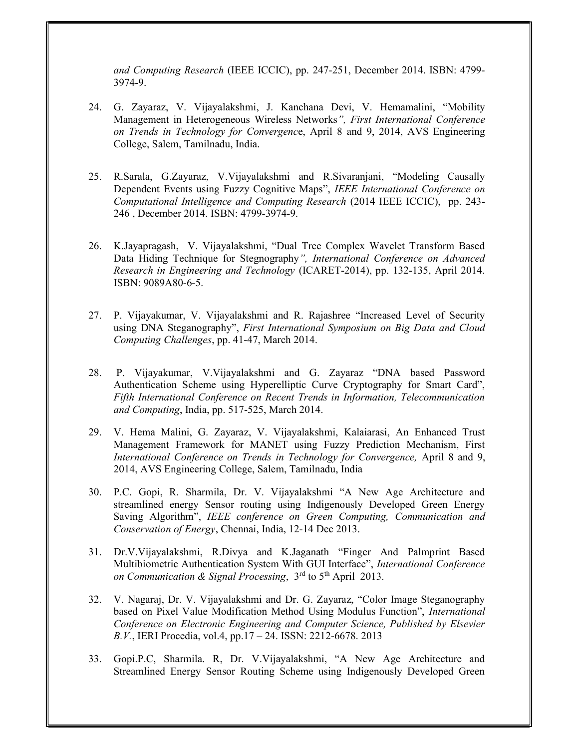and Computing Research (IEEE ICCIC), pp. 247-251, December 2014. ISBN: 4799- 3974-9.

- 24. G. Zayaraz, V. Vijayalakshmi, J. Kanchana Devi, V. Hemamalini, "Mobility Management in Heterogeneous Wireless Networks", First International Conference on Trends in Technology for Convergence, April 8 and 9, 2014, AVS Engineering College, Salem, Tamilnadu, India.
- 25. R.Sarala, G.Zayaraz, V.Vijayalakshmi and R.Sivaranjani, "Modeling Causally Dependent Events using Fuzzy Cognitive Maps", IEEE International Conference on Computational Intelligence and Computing Research (2014 IEEE ICCIC), pp. 243- 246 , December 2014. ISBN: 4799-3974-9.
- 26. K.Jayapragash, V. Vijayalakshmi, "Dual Tree Complex Wavelet Transform Based Data Hiding Technique for Stegnography", International Conference on Advanced Research in Engineering and Technology (ICARET-2014), pp. 132-135, April 2014. ISBN: 9089A80-6-5.
- 27. P. Vijayakumar, V. Vijayalakshmi and R. Rajashree "Increased Level of Security using DNA Steganography", First International Symposium on Big Data and Cloud Computing Challenges, pp. 41-47, March 2014.
- 28. P. Vijayakumar, V.Vijayalakshmi and G. Zayaraz "DNA based Password Authentication Scheme using Hyperelliptic Curve Cryptography for Smart Card", Fifth International Conference on Recent Trends in Information, Telecommunication and Computing, India, pp. 517-525, March 2014.
- 29. V. Hema Malini, G. Zayaraz, V. Vijayalakshmi, Kalaiarasi, An Enhanced Trust Management Framework for MANET using Fuzzy Prediction Mechanism, First International Conference on Trends in Technology for Convergence, April 8 and 9, 2014, AVS Engineering College, Salem, Tamilnadu, India
- 30. P.C. Gopi, R. Sharmila, Dr. V. Vijayalakshmi "A New Age Architecture and streamlined energy Sensor routing using Indigenously Developed Green Energy Saving Algorithm", IEEE conference on Green Computing, Communication and Conservation of Energy, Chennai, India, 12-14 Dec 2013.
- 31. Dr.V.Vijayalakshmi, R.Divya and K.Jaganath "Finger And Palmprint Based Multibiometric Authentication System With GUI Interface", International Conference on Communication  $\&$  Signal Processing,  $3<sup>rd</sup>$  to  $5<sup>th</sup>$  April 2013.
- 32. V. Nagaraj, Dr. V. Vijayalakshmi and Dr. G. Zayaraz, "Color Image Steganography based on Pixel Value Modification Method Using Modulus Function", International Conference on Electronic Engineering and Computer Science, Published by Elsevier B.V., IERI Procedia, vol.4, pp.17 – 24. ISSN: 2212-6678. 2013
- 33. Gopi.P.C, Sharmila. R, Dr. V.Vijayalakshmi, "A New Age Architecture and Streamlined Energy Sensor Routing Scheme using Indigenously Developed Green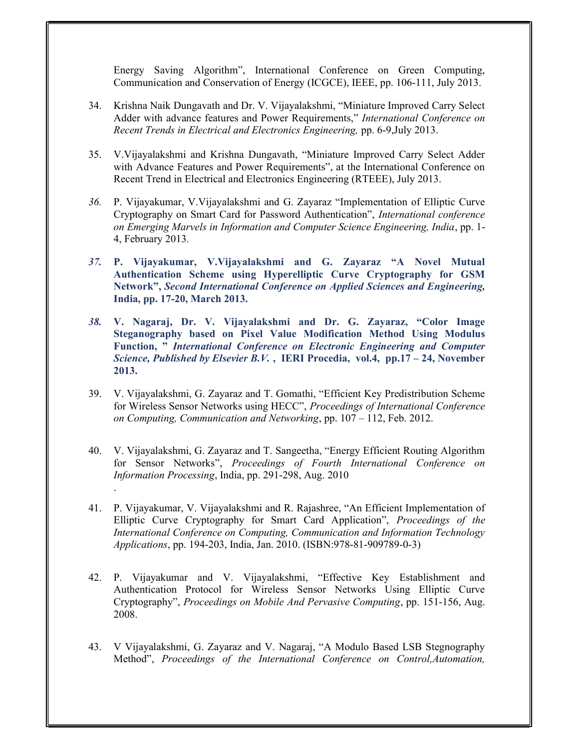Energy Saving Algorithm", International Conference on Green Computing, Communication and Conservation of Energy (ICGCE), IEEE, pp. 106-111, July 2013.

- 34. Krishna Naik Dungavath and Dr. V. Vijayalakshmi, "Miniature Improved Carry Select Adder with advance features and Power Requirements," International Conference on Recent Trends in Electrical and Electronics Engineering, pp. 6-9,July 2013.
- 35. V.Vijayalakshmi and Krishna Dungavath, "Miniature Improved Carry Select Adder with Advance Features and Power Requirements", at the International Conference on Recent Trend in Electrical and Electronics Engineering (RTEEE), July 2013.
- 36. P. Vijayakumar, V.Vijayalakshmi and G. Zayaraz "Implementation of Elliptic Curve Cryptography on Smart Card for Password Authentication", International conference on Emerging Marvels in Information and Computer Science Engineering, India, pp. 1- 4, February 2013.
- 37. P. Vijayakumar, V.Vijayalakshmi and G. Zayaraz "A Novel Mutual Authentication Scheme using Hyperelliptic Curve Cryptography for GSM Network", Second International Conference on Applied Sciences and Engineering, India, pp. 17-20, March 2013.
- 38. V. Nagaraj, Dr. V. Vijayalakshmi and Dr. G. Zayaraz, "Color Image Steganography based on Pixel Value Modification Method Using Modulus Function, " International Conference on Electronic Engineering and Computer Science, Published by Elsevier B.V., IERI Procedia, vol.4, pp.17 – 24, November 2013.
- 39. V. Vijayalakshmi, G. Zayaraz and T. Gomathi, "Efficient Key Predistribution Scheme for Wireless Sensor Networks using HECC", Proceedings of International Conference on Computing, Communication and Networking, pp. 107 – 112, Feb. 2012.
- 40. V. Vijayalakshmi, G. Zayaraz and T. Sangeetha, "Energy Efficient Routing Algorithm for Sensor Networks", Proceedings of Fourth International Conference on Information Processing, India, pp. 291-298, Aug. 2010 .
- 41. P. Vijayakumar, V. Vijayalakshmi and R. Rajashree, "An Efficient Implementation of Elliptic Curve Cryptography for Smart Card Application", Proceedings of the International Conference on Computing, Communication and Information Technology Applications, pp. 194-203, India, Jan. 2010. (ISBN:978-81-909789-0-3)
- 42. P. Vijayakumar and V. Vijayalakshmi, "Effective Key Establishment and Authentication Protocol for Wireless Sensor Networks Using Elliptic Curve Cryptography", Proceedings on Mobile And Pervasive Computing, pp. 151-156, Aug. 2008.
- 43. V Vijayalakshmi, G. Zayaraz and V. Nagaraj, "A Modulo Based LSB Stegnography Method", Proceedings of the International Conference on Control,Automation,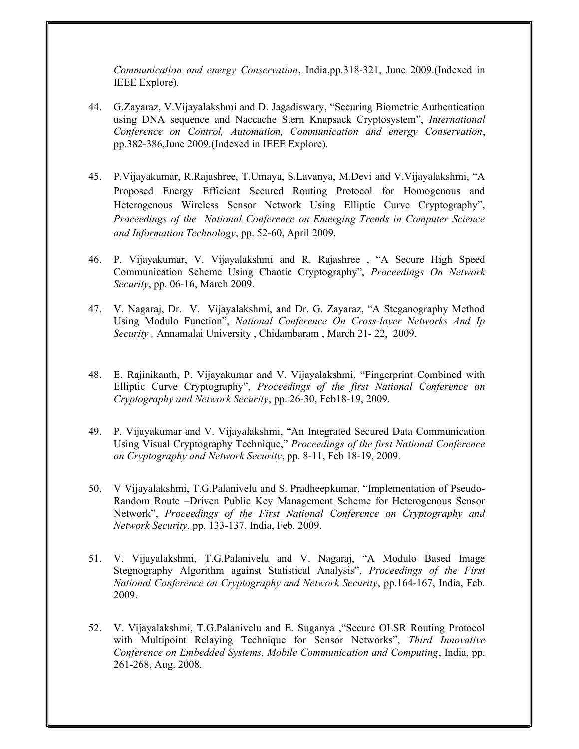Communication and energy Conservation, India,pp.318-321, June 2009.(Indexed in IEEE Explore).

- 44. G.Zayaraz, V.Vijayalakshmi and D. Jagadiswary, "Securing Biometric Authentication using DNA sequence and Naccache Stern Knapsack Cryptosystem", International Conference on Control, Automation, Communication and energy Conservation, pp.382-386,June 2009.(Indexed in IEEE Explore).
- 45. P.Vijayakumar, R.Rajashree, T.Umaya, S.Lavanya, M.Devi and V.Vijayalakshmi, "A Proposed Energy Efficient Secured Routing Protocol for Homogenous and Heterogenous Wireless Sensor Network Using Elliptic Curve Cryptography", Proceedings of the National Conference on Emerging Trends in Computer Science and Information Technology, pp. 52-60, April 2009.
- 46. P. Vijayakumar, V. Vijayalakshmi and R. Rajashree , "A Secure High Speed Communication Scheme Using Chaotic Cryptography", Proceedings On Network Security, pp. 06-16, March 2009.
- 47. V. Nagaraj, Dr. V. Vijayalakshmi, and Dr. G. Zayaraz, "A Steganography Method Using Modulo Function", National Conference On Cross-layer Networks And Ip Security, Annamalai University, Chidambaram, March 21-22, 2009.
- 48. E. Rajinikanth, P. Vijayakumar and V. Vijayalakshmi, "Fingerprint Combined with Elliptic Curve Cryptography", Proceedings of the first National Conference on Cryptography and Network Security, pp. 26-30, Feb18-19, 2009.
- 49. P. Vijayakumar and V. Vijayalakshmi, "An Integrated Secured Data Communication Using Visual Cryptography Technique," Proceedings of the first National Conference on Cryptography and Network Security, pp. 8-11, Feb 18-19, 2009.
- 50. V Vijayalakshmi, T.G.Palanivelu and S. Pradheepkumar, "Implementation of Pseudo-Random Route –Driven Public Key Management Scheme for Heterogenous Sensor Network", Proceedings of the First National Conference on Cryptography and Network Security, pp. 133-137, India, Feb. 2009.
- 51. V. Vijayalakshmi, T.G.Palanivelu and V. Nagaraj, "A Modulo Based Image Stegnography Algorithm against Statistical Analysis", Proceedings of the First National Conference on Cryptography and Network Security, pp.164-167, India, Feb. 2009.
- 52. V. Vijayalakshmi, T.G.Palanivelu and E. Suganya ,"Secure OLSR Routing Protocol with Multipoint Relaying Technique for Sensor Networks", Third Innovative Conference on Embedded Systems, Mobile Communication and Computing, India, pp. 261-268, Aug. 2008.